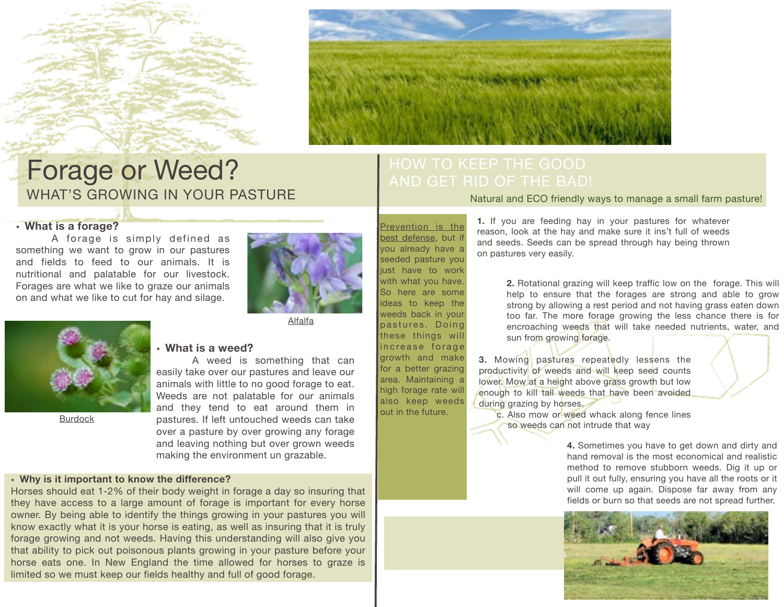



### Forage or Weed? WHAT'S GROWING IN YOUR PASTURE

### **• What is a forage?**

A forage is simply defined as something we want to grow in our pastures and fields to feed to our animals. It is nutritional and palatable for our livestock. Forages are what we like to graze our animals on and what we like to cut for hay and silage.



Alfalfa

Burdock

### **• What is a weed?**

A weed is something that can easily take over our pastures and leave our animals with little to no good forage to eat. Weeds are not palatable for our animals and they tend to eat around them in pastures. If left untouched weeds can take over a pasture by over growing any forage and leaving nothing but over grown weeds making the environment un grazable.

### **• Why is it important to know the difference?**

Horses should eat 1-2% of their body weight in forage a day so insuring that they have access to a large amount of forage is important for every horse owner. By being able to identify the things growing in your pastures you will know exactly what it is your horse is eating, as well as insuring that it is truly forage growing and not weeds. Having this understanding will also give you that ability to pick out poisonous plants growing in your pasture before your horse eats one. In New England the time allowed for horses to graze is limited so we must keep our fields healthy and full of good forage.

Natural and ECO friendly ways to manage a small farm pasture!

Prevention is the best defense, but if you already have a seeded pasture you just have to work with what you have. So here are some ideas to keep the weeds back in your pastures. Doing these things will increase forage growth and make for a better grazing area. Maintaining a high forage rate will also keep weeds out in the future.

**1.** If you are feeding hay in your pastures for whatever reason, look at the hay and make sure it ins't full of weeds and seeds. Seeds can be spread through hay being thrown on pastures very easily.

> **2.** Rotational grazing will keep traffic low on the forage. This will help to ensure that the forages are strong and able to grow strong by allowing a rest period and not having grass eaten down too far. The more forage growing the less chance there is for encroaching weeds that will take needed nutrients, water, and sun from growing forage.

**3.** Mowing pastures repeatedly lessens the productivity of weeds and will keep seed counts lower. Mow at a height above grass growth but low enough to kill tall weeds that have been avoided during grazing by horses.

c. Also mow or weed whack along fence lines so weeds can not intrude that way

> **4.** Sometimes you have to get down and dirty and hand removal is the most economical and realistic method to remove stubborn weeds. Dig it up or pull it out fully, ensuring you have all the roots or it will come up again. Dispose far away from any fields or burn so that seeds are not spread further.